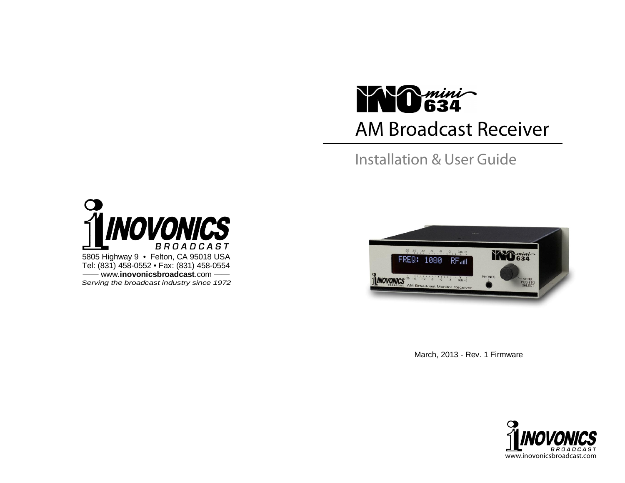# AM Broadcast Receiver **KNO** 634

Installation & User Guide





March, 2013 - Rev. 1 Firmware

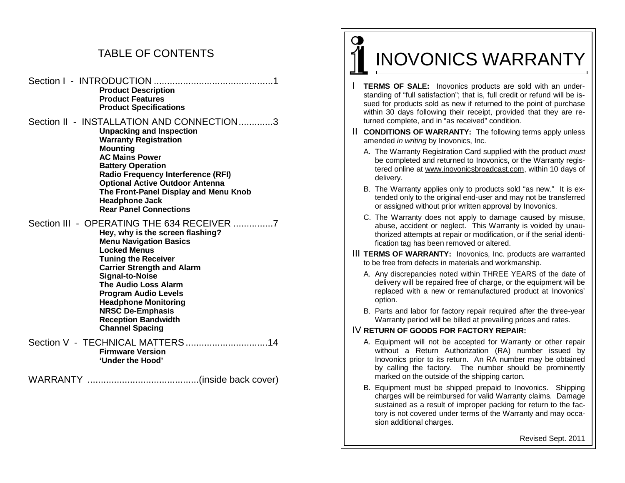# TABLE OF CONTENTS

Section I - INTRODUCTION .............................................1 **Product Description Product Features Product Specifications** 

Section II - INSTALLATION AND CONNECTION .............3 **Unpacking and Inspection Warranty Registration Mounting AC Mains Power Battery Operation Radio Frequency Interference (RFI) Optional Active Outdoor Antenna The Front-Panel Display and Menu Knob Headphone Jack Rear Panel Connections** 

## Section III - OPERATING THE 634 RECEIVER ...............7

**Hey, why is the screen flashing? Menu Navigation Basics Locked Menus Tuning the Receiver Carrier Strength and Alarm Signal-to-Noise The Audio Loss Alarm Program Audio Levels Headphone Monitoring NRSC De-Emphasis Reception Bandwidth Channel Spacing** 

#### Section V - TECHNICAL MATTERS ..................................14 **Firmware Version 'Under the Hood'**

WARRANTY ..........................................(inside back cover)

# INOVONICS WARRANTY

 $\Omega$ 

- **TERMS OF SALE:** Inovonics products are sold with an understanding of "full satisfaction"; that is, full credit or refund will be issued for products sold as new if returned to the point of purchase within 30 days following their receipt, provided that they are returned complete, and in "as received" condition.
- **II CONDITIONS OF WARRANTY:** The following terms apply unless amended *in writing* by Inovonics, Inc.
	- A. The Warranty Registration Card supplied with the product *must* be completed and returned to Inovonics, or the Warranty registered online at www.inovonicsbroadcast.com, within 10 days of delivery.
	- B. The Warranty applies only to products sold "as new." It is extended only to the original end-user and may not be transferred or assigned without prior written approval by Inovonics.
	- C. The Warranty does not apply to damage caused by misuse, abuse, accident or neglect. This Warranty is voided by unauthorized attempts at repair or modification, or if the serial identification tag has been removed or altered.
- III **TERMS OF WARRANTY:** Inovonics, Inc. products are warranted to be free from defects in materials and workmanship.
	- A. Any discrepancies noted within THREE YEARS of the date of delivery will be repaired free of charge, or the equipment will be replaced with a new or remanufactured product at Inovonics' option.
	- B. Parts and labor for factory repair required after the three-year Warranty period will be billed at prevailing prices and rates.

#### IV **RETURN OF GOODS FOR FACTORY REPAIR:**

- A. Equipment will not be accepted for Warranty or other repair without a Return Authorization (RA) number issued by Inovonics prior to its return. An RA number may be obtained by calling the factory. The number should be prominently marked on the outside of the shipping carton.
- B. Equipment must be shipped prepaid to Inovonics. Shipping charges will be reimbursed for valid Warranty claims. Damage sustained as a result of improper packing for return to the factory is not covered under terms of the Warranty and may occasion additional charges.

Revised Sept. 2011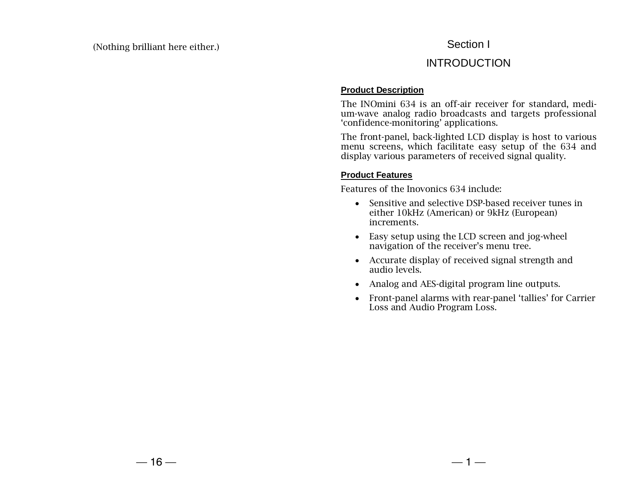# Section I

# INTRODUCTION

## **Product Description**

The INOmini 634 is an off-air receiver for standard, medium-wave analog radio broadcasts and targets professional 'confidence-monitoring' applications.

The front-panel, back-lighted LCD display is host to various menu screens, which facilitate easy setup of the 634 and display various parameters of received signal quality.

## **Product Features**

Features of the Inovonics 634 include:

- Sensitive and selective DSP-based receiver tunes in either 10kHz (American) or 9kHz (European) increments.
- Easy setup using the LCD screen and jog-wheel navigation of the receiver's menu tree.
- Accurate display of received signal strength and audio levels.
- Analog and AES-digital program line outputs.
- Front-panel alarms with rear-panel 'tallies' for Carrier Loss and Audio Program Loss.

 $-1-$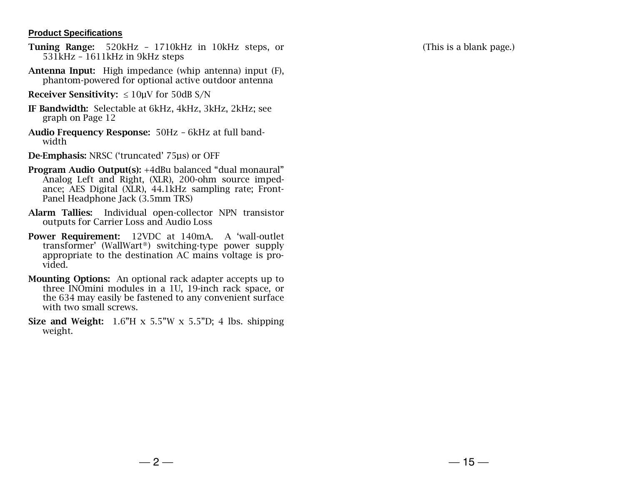### **Product Specifications**

- Tuning Range: 520kHz 1710kHz in 10kHz steps, or 531kHz – 1611kHz in 9kHz steps
- Antenna Input: High impedance (whip antenna) input (F), phantom-powered for optional active outdoor antenna
- Receiver Sensitivity:  $\leq 10$ uV for 50dB S/N
- IF Bandwidth: Selectable at 6kHz, 4kHz, 3kHz, 2kHz; see graph on Page 12
- Audio Frequency Response: 50Hz 6kHz at full bandwidth
- De-Emphasis: NRSC ('truncated' 75µs) or OFF
- Program Audio Output(s): +4dBu balanced "dual monaural" Analog Left and Right, (XLR), 200-ohm source impedance; AES Digital (XLR), 44.1kHz sampling rate; Front-Panel Headphone Jack (3.5mm TRS)
- Alarm Tallies: Individual open-collector NPN transistor outputs for Carrier Loss and Audio Loss
- Power Requirement: 12VDC at 140mA. A 'wall-outlet transformer' (WallWart®) switching-type power supply appropriate to the destination AC mains voltage is provided.
- Mounting Options: An optional rack adapter accepts up to three INOmini modules in a 1U, 19-inch rack space, or the 634 may easily be fastened to any convenient surface with two small screws.
- Size and Weight:  $1.6$ "H x  $5.5$ "W x  $5.5$ "D; 4 lbs. shipping weight.

(This is a blank page.)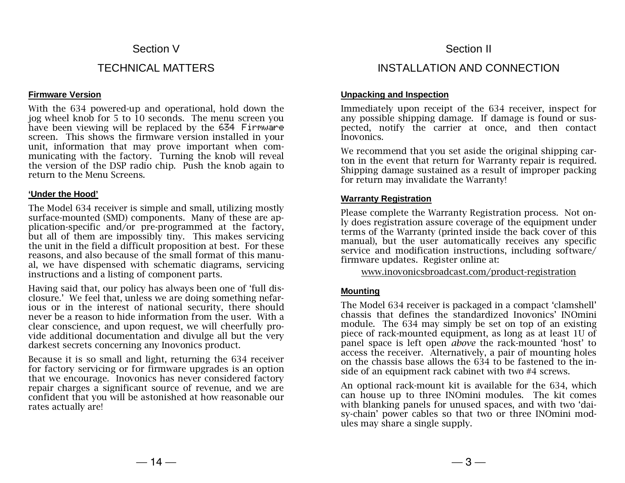# Section V

# TECHNICAL MATTERS

#### **Firmware Version**

With the 634 powered-up and operational, hold down the jog wheel knob for 5 to 10 seconds. The menu screen you have been viewing will be replaced by the 634 Firmware screen. This shows the firmware version installed in your unit, information that may prove important when communicating with the factory. Turning the knob will reveal the version of the DSP radio chip. Push the knob again to return to the Menu Screens.

#### **'Under the Hood'**

The Model 634 receiver is simple and small, utilizing mostly surface-mounted (SMD) components. Many of these are application-specific and/or pre-programmed at the factory, but all of them are impossibly tiny. This makes servicing the unit in the field a difficult proposition at best. For these reasons, and also because of the small format of this manual, we have dispensed with schematic diagrams, servicing instructions and a listing of component parts.

Having said that, our policy has always been one of 'full disclosure.' We feel that, unless we are doing something nefarious or in the interest of national security, there should never be a reason to hide information from the user. With a clear conscience, and upon request, we will cheerfully provide additional documentation and divulge all but the very darkest secrets concerning any Inovonics product.

Because it is so small and light, returning the 634 receiver for factory servicing or for firmware upgrades is an option that we encourage. Inovonics has never considered factory repair charges a significant source of revenue, and we are confident that you will be astonished at how reasonable our rates actually are!

# Section II

# INSTALLATION AND CONNECTION

#### **Unpacking and Inspection**

Immediately upon receipt of the 634 receiver, inspect for any possible shipping damage. If damage is found or suspected, notify the carrier at once, and then contact Inovonics.

We recommend that you set aside the original shipping carton in the event that return for Warranty repair is required. Shipping damage sustained as a result of improper packing for return may invalidate the Warranty!

## **Warranty Registration**

Please complete the Warranty Registration process. Not only does registration assure coverage of the equipment under terms of the Warranty (printed inside the back cover of this manual), but the user automatically receives any specific service and modification instructions, including software/ firmware updates. Register online at:

www.inovonicsbroadcast.com/product-registration

## **Mounting**

The Model 634 receiver is packaged in a compact 'clamshell' chassis that defines the standardized Inovonics' INOmini module. The 634 may simply be set on top of an existing piece of rack-mounted equipment, as long as at least 1U of panel space is left open *above* the rack-mounted 'host' to access the receiver. Alternatively, a pair of mounting holes on the chassis base allows the 634 to be fastened to the inside of an equipment rack cabinet with two #4 screws.

An optional rack-mount kit is available for the 634, which can house up to three INOmini modules. The kit comes with blanking panels for unused spaces, and with two 'daisy-chain' power cables so that two or three INOmini modules may share a single supply.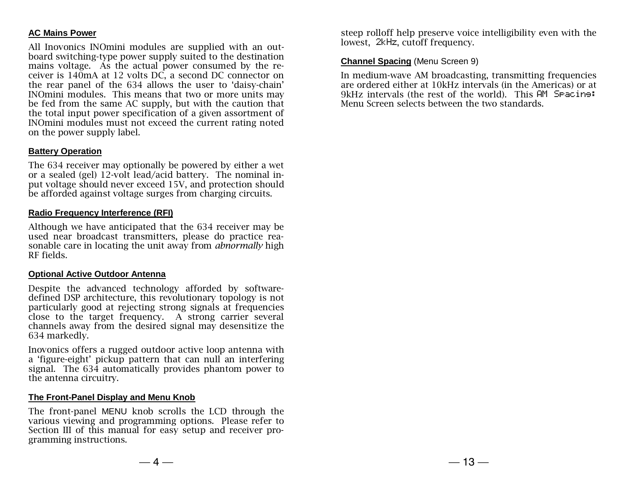## **AC Mains Power**

All Inovonics INOmini modules are supplied with an outboard switching-type power supply suited to the destination mains voltage. As the actual power consumed by the receiver is 140mA at 12 volts DC, a second DC connector on the rear panel of the 634 allows the user to 'daisy-chain' INOmini modules. This means that two or more units may be fed from the same AC supply, but with the caution that the total input power specification of a given assortment of INOmini modules must not exceed the current rating noted on the power supply label.

## **Battery Operation**

The 634 receiver may optionally be powered by either a wet or a sealed (gel) 12-volt lead/acid battery. The nominal input voltage should never exceed 15V, and protection should be afforded against voltage surges from charging circuits.

## **Radio Frequency Interference (RFI)**

Although we have anticipated that the 634 receiver may be used near broadcast transmitters, please do practice reasonable care in locating the unit away from *abnormally* high RF fields.

#### **Optional Active Outdoor Antenna**

Despite the advanced technology afforded by softwaredefined DSP architecture, this revolutionary topology is not particularly good at rejecting strong signals at frequencies close to the target frequency. A strong carrier several channels away from the desired signal may desensitize the 634 markedly.

Inovonics offers a rugged outdoor active loop antenna with a 'figure-eight' pickup pattern that can null an interfering signal. The 634 automatically provides phantom power to the antenna circuitry.

#### **The Front-Panel Display and Menu Knob**

The front-panel MENU knob scrolls the LCD through the various viewing and programming options. Please refer to Section III of this manual for easy setup and receiver programming instructions.

steep rolloff help preserve voice intelligibility even with the lowest, 2kHz, cutoff frequency.

#### **Channel Spacing** (Menu Screen 9)

In medium-wave AM broadcasting, transmitting frequencies are ordered either at 10kHz intervals (in the Americas) or at 9kHz intervals (the rest of the world). This AM Spacing: Menu Screen selects between the two standards.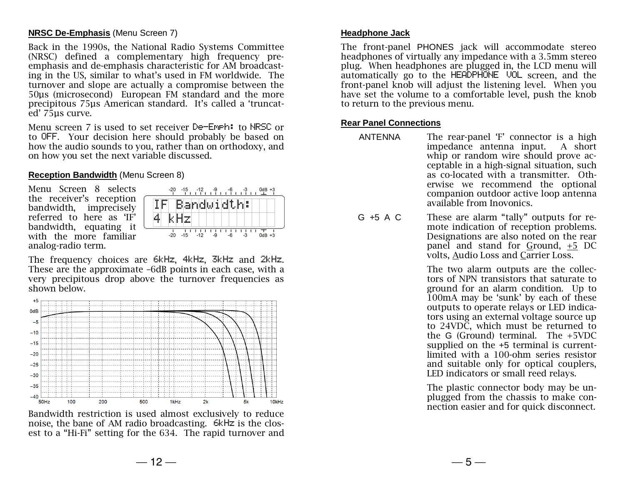#### **NRSC De-Emphasis** (Menu Screen 7)

Back in the 1990s, the National Radio Systems Committee (NRSC) defined a complementary high frequency preemphasis and de-emphasis characteristic for AM broadcasting in the US, similar to what's used in FM worldwide. The turnover and slope are actually a compromise between the 50µs (microsecond) European FM standard and the more precipitous 75µs American standard. It's called a 'truncated' 75µs curve.

Menu screen 7 is used to set receiver De-Emph: to NRSC or to OFF. Your decision here should probably be based on how the audio sounds to you, rather than on orthodoxy, and on how you set the next variable discussed.

#### **Reception Bandwidth** (Menu Screen 8)

Menu Screen 8 selects the receiver's reception bandwidth, imprecisely referred to here as 'IF' bandwidth, equating it with the more familiar analog-radio term.



The frequency choices are 6kHz, 4kHz, 3kHz and 2kHz. These are the approximate –6dB points in each case, with a very precipitous drop above the turnover frequencies as shown below.



Bandwidth restriction is used almost exclusively to reduce noise, the bane of AM radio broadcasting. 6kHz is the closest to a "Hi-Fi" setting for the 634. The rapid turnover and

#### **Headphone Jack**

The front-panel PHONES jack will accommodate stereo headphones of virtually any impedance with a 3.5mm stereo plug. When headphones are plugged in, the LCD menu will automatically go to the HEADPHONE VOL screen, and the front-panel knob will adjust the listening level. When you have set the volume to a comfortable level, push the knob to return to the previous menu.

#### **Rear Panel Connections**

- ANTENNA The rear-panel 'F' connector is a high impedance antenna input. A short whip or random wire should prove acceptable in a high-signal situation, such as co-located with a transmitter. Otherwise we recommend the optional companion outdoor active loop antenna available from Inovonics.
- G +5 A C These are alarm "tally" outputs for remote indication of reception problems. Designations are also noted on the rear panel and stand for Ground, +5 DC volts, Audio Loss and Carrier Loss.

The two alarm outputs are the collectors of NPN transistors that saturate to ground for an alarm condition. Up to 100mA may be 'sunk' by each of these outputs to operate relays or LED indicators using an external voltage source up to 24VDC, which must be returned to the G (Ground) terminal. The +5VDC supplied on the +5 terminal is currentlimited with a 100-ohm series resistor and suitable only for optical couplers, LED indicators or small reed relays.

The plastic connector body may be unplugged from the chassis to make connection easier and for quick disconnect.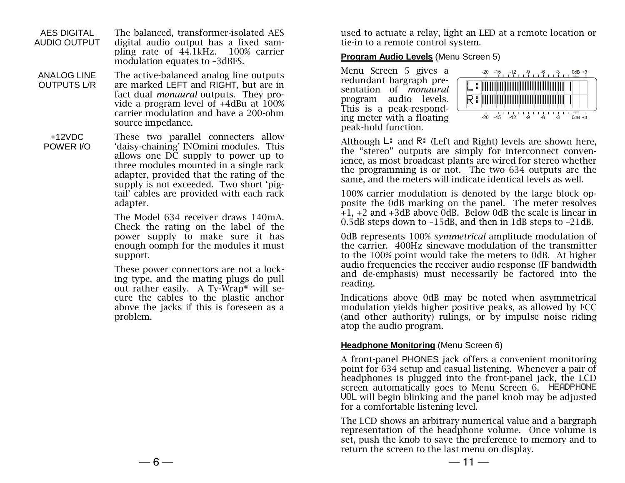AES DIGITAL AUDIO OUTPUT The balanced, transformer-isolated AES digital audio output has a fixed sampling rate of 44.1kHz. 100% carrier modulation equates to –3dBFS.

- ANALOG LINE OUTPUTS L/R The active-balanced analog line outputs are marked LEFT and RIGHT, but are in fact dual *monaural* outputs. They provide a program level of  $+4$ dBu at  $100\%$ carrier modulation and have a 200-ohm source impedance.
- +12VDC POWER I/O

These two parallel connecters allow 'daisy-chaining' INOmini modules. This allows one  $D\tilde{C}$  supply to power up to three modules mounted in a single rack adapter, provided that the rating of the supply is not exceeded. Two short 'pigtail' cables are provided with each rack adapter.

The Model 634 receiver draws 140mA. Check the rating on the label of the power supply to make sure it has enough oomph for the modules it must support.

These power connectors are not a locking type, and the mating plugs do pull out rather easily. A Ty-Wrap® will secure the cables to the plastic anchor above the jacks if this is foreseen as a problem.

used to actuate a relay, light an LED at a remote location or tie-in to a remote control system.

## **Program Audio Levels** (Menu Screen 5)

Menu Screen 5 gives a redundant bargraph presentation of *monaural* program audio levels. This is a peak-responding meter with a floating peak-hold function.



Although  $L:$  and  $\mathbb{R}:$  (Left and Right) levels are shown here, the "stereo" outputs are simply for interconnect convenience, as most broadcast plants are wired for stereo whether the programming is or not. The two 634 outputs are the same, and the meters will indicate identical levels as well.

100% carrier modulation is denoted by the large block opposite the 0dB marking on the panel. The meter resolves  $+1$ ,  $+2$  and  $+3$ dB above OdB. Below OdB the scale is linear in 0.5dB steps down to –15dB, and then in 1dB steps to –21dB.

0dB represents 100% *symmetrical* amplitude modulation of the carrier. 400Hz sinewave modulation of the transmitter to the 100% point would take the meters to 0dB. At higher audio frequencies the receiver audio response (IF bandwidth and de-emphasis) must necessarily be factored into the reading.

Indications above 0dB may be noted when asymmetrical modulation yields higher positive peaks, as allowed by FCC (and other authority) rulings, or by impulse noise riding atop the audio program.

## **Headphone Monitoring** (Menu Screen 6)

A front-panel PHONES jack offers a convenient monitoring point for 634 setup and casual listening. Whenever a pair of headphones is plugged into the front-panel jack, the LCD screen automatically goes to Menu Screen 6. HEADPHONE VOL will begin blinking and the panel knob may be adjusted for a comfortable listening level.

The LCD shows an arbitrary numerical value and a bargraph representation of the headphone volume. Once volume is set, push the knob to save the preference to memory and to return the screen to the last menu on display.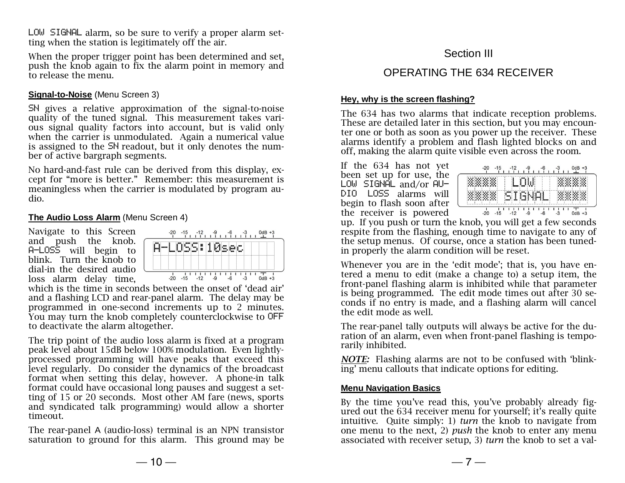LOW SIGNAL alarm, so be sure to verify a proper alarm setting when the station is legitimately off the air.

When the proper trigger point has been determined and set, push the knob again to fix the alarm point in memory and to release the menu.

## **Signal-to-Noise** (Menu Screen 3)

SN gives a relative approximation of the signal-to-noise quality of the tuned signal. This measurement takes various signal quality factors into account, but is valid only when the carrier is unmodulated. Again a numerical value is assigned to the SN readout, but it only denotes the number of active bargraph segments.

No hard-and-fast rule can be derived from this display, except for "more is better." Remember: this measurement is meaningless when the carrier is modulated by program audio.

## **The Audio Loss Alarm** (Menu Screen 4)

Navigate to this Screen and push the knob. A-LOSS will begin to blink. Turn the knob to dial-in the desired audio loss alarm delay time,



which is the time in seconds between the onset of 'dead air' and a flashing LCD and rear-panel alarm. The delay may be programmed in one-second increments up to 2 minutes. You may turn the knob completely counterclockwise to OFF to deactivate the alarm altogether.

The trip point of the audio loss alarm is fixed at a program peak level about 15dB below 100% modulation. Even lightlyprocessed programming will have peaks that exceed this level regularly. Do consider the dynamics of the broadcast format when setting this delay, however. A phone-in talk format could have occasional long pauses and suggest a setting of 15 or 20 seconds. Most other AM fare (news, sports and syndicated talk programming) would allow a shorter timeout.

The rear-panel A (audio-loss) terminal is an NPN transistor saturation to ground for this alarm. This ground may be

# Section III

# OPERATING THE 634 RECEIVER

## **Hey, why is the screen flashing?**

The 634 has two alarms that indicate reception problems. These are detailed later in this section, but you may encounter one or both as soon as you power up the receiver. These alarms identify a problem and flash lighted blocks on and off, making the alarm quite visible even across the room.

If the 634 has not yet been set up for use, the  $LOW$  SIGNAL and/or  $AU$ -DIO LOSS alarms will begin to flash soon after the receiver is powered

| .     |       | . |                          | <b>Bank 1</b> | . .       | w |      | . | . .<br>ш<br>х | . | . |
|-------|-------|---|--------------------------|---------------|-----------|---|------|---|---------------|---|---|
| <br>. | <br>. |   | ----<br>m<br><b>SHOP</b> | --<br>nin.    | --<br>--- |   | imus | . |               |   |   |

up. If you push or turn the knob, you will get a few seconds respite from the flashing, enough time to navigate to any of the setup menus. Of course, once a station has been tunedin properly the alarm condition will be reset.

Whenever you are in the 'edit mode'; that is, you have entered a menu to edit (make a change to) a setup item, the front-panel flashing alarm is inhibited while that parameter is being programmed. The edit mode times out after 30 seconds if no entry is made, and a flashing alarm will cancel the edit mode as well.

The rear-panel tally outputs will always be active for the duration of an alarm, even when front-panel flashing is temporarily inhibited.

*NOTE:* Flashing alarms are not to be confused with 'blinking' menu callouts that indicate options for editing.

## **Menu Navigation Basics**

By the time you've read this, you've probably already figured out the 634 receiver menu for yourself; it's really quite intuitive. Quite simply: 1) *turn* the knob to navigate from one menu to the next, 2) *push* the knob to enter any menu associated with receiver setup, 3) *turn* the knob to set a val-